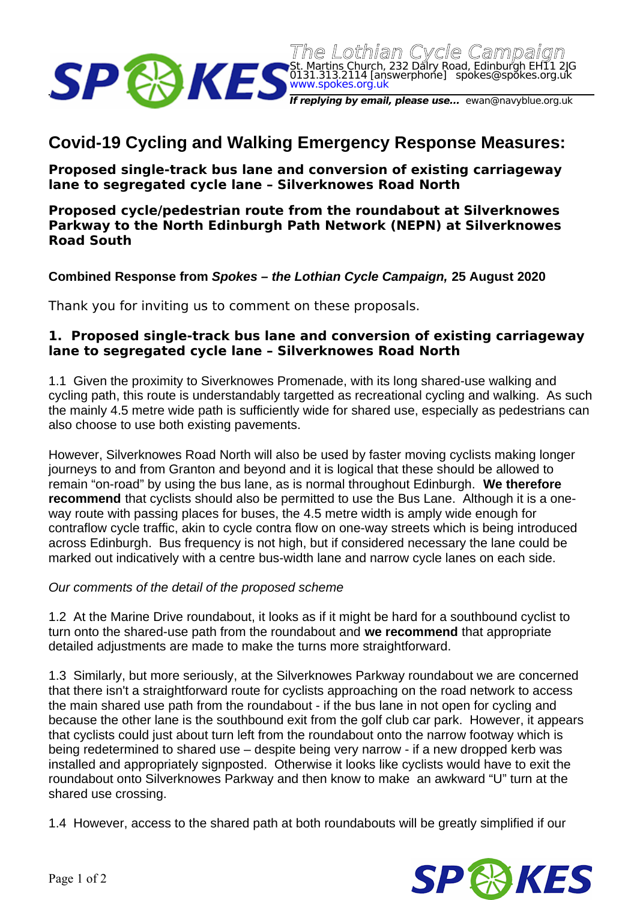

# **Covid-19 Cycling and Walking Emergency Response Measures:**

**Proposed single-track bus lane and conversion of existing carriageway lane to segregated cycle lane – Silverknowes Road North** 

## **Proposed cycle/pedestrian route from the roundabout at Silverknowes Parkway to the North Edinburgh Path Network (NEPN) at Silverknowes Road South**

**Combined Response from** *Spokes – the Lothian Cycle Campaign,* **25 August 2020**

Thank you for inviting us to comment on these proposals.

## **1. Proposed single-track bus lane and conversion of existing carriageway lane to segregated cycle lane – Silverknowes Road North**

1.1 Given the proximity to Siverknowes Promenade, with its long shared-use walking and cycling path, this route is understandably targetted as recreational cycling and walking. As such the mainly 4.5 metre wide path is sufficiently wide for shared use, especially as pedestrians can also choose to use both existing pavements.

However, Silverknowes Road North will also be used by faster moving cyclists making longer journeys to and from Granton and beyond and it is logical that these should be allowed to remain "on-road" by using the bus lane, as is normal throughout Edinburgh. **We therefore recommend** that cyclists should also be permitted to use the Bus Lane. Although it is a oneway route with passing places for buses, the 4.5 metre width is amply wide enough for contraflow cycle traffic, akin to cycle contra flow on one-way streets which is being introduced across Edinburgh. Bus frequency is not high, but if considered necessary the lane could be marked out indicatively with a centre bus-width lane and narrow cycle lanes on each side.

#### *Our comments of the detail of the proposed scheme*

1.2 At the Marine Drive roundabout, it looks as if it might be hard for a southbound cyclist to turn onto the shared-use path from the roundabout and **we recommend** that appropriate detailed adjustments are made to make the turns more straightforward.

1.3 Similarly, but more seriously, at the Silverknowes Parkway roundabout we are concerned that there isn't a straightforward route for cyclists approaching on the road network to access the main shared use path from the roundabout - if the bus lane in not open for cycling and because the other lane is the southbound exit from the golf club car park. However, it appears that cyclists could just about turn left from the roundabout onto the narrow footway which is being redetermined to shared use – despite being very narrow - if a new dropped kerb was installed and appropriately signposted. Otherwise it looks like cyclists would have to exit the roundabout onto Silverknowes Parkway and then know to make an awkward "U" turn at the shared use crossing.

1.4 However, access to the shared path at both roundabouts will be greatly simplified if our